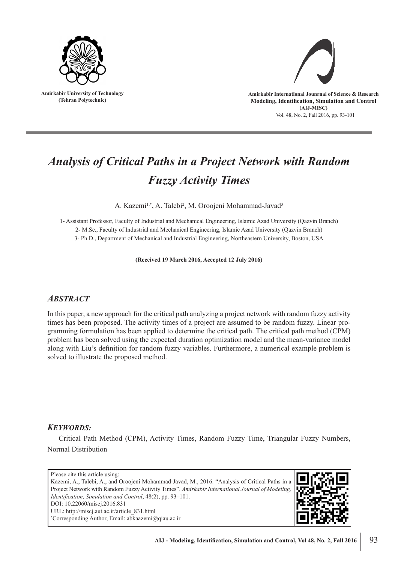

**Amirkabir University of Technology (Tehran Polytechnic)**



Vol. 48, No. 2, Fall 2016, pp. 93-101 **Amirkabir International Jounrnal of Science & Research Modeling, Identification, Simulation and Control (AIJ-MISC)**

# *Analysis of Critical Paths in a Project Network with Random Fuzzy Activity Times*

A. Kazemi<sup>1,\*</sup>, A. Talebi<sup>2</sup>, M. Oroojeni Mohammad-Javad<sup>3</sup>

1- Assistant Professor, Faculty of Industrial and Mechanical Engineering, Islamic Azad University (Qazvin Branch) 2- M.Sc., Faculty of Industrial and Mechanical Engineering, Islamic Azad University (Qazvin Branch) 3- Ph.D., Department of Mechanical and Industrial Engineering, Northeastern University, Boston, USA

**(Received 19 March 2016, Accepted 12 July 2016)**

# *ABSTRACT*

In this paper, a new approach for the critical path analyzing a project network with random fuzzy activity times has been proposed. The activity times of a project are assumed to be random fuzzy. Linear programming formulation has been applied to determine the critical path. The critical path method (CPM) problem has been solved using the expected duration optimization model and the mean-variance model along with Liu's definition for random fuzzy variables. Furthermore, a numerical example problem is solved to illustrate the proposed method.

## *KEYWORDS:*

Critical Path Method (CPM), Activity Times, Random Fuzzy Time, Triangular Fuzzy Numbers, Normal Distribution

Please cite this article using: Kazemi, A., Talebi, A., and Oroojeni Mohammad-Javad, M., 2016. "Analysis of Critical Paths in a Project Network with Random Fuzzy Activity Times". *Amirkabir International Journal of Modeling, Identification, Simulation and Control*, 48(2), pp. 93–101. DOI: 10.22060/miscj.2016.831 URL: http://miscj.aut.ac.ir/article\_831.html \* Corresponding Author, Email: abkaazemi@qiau.ac.ir

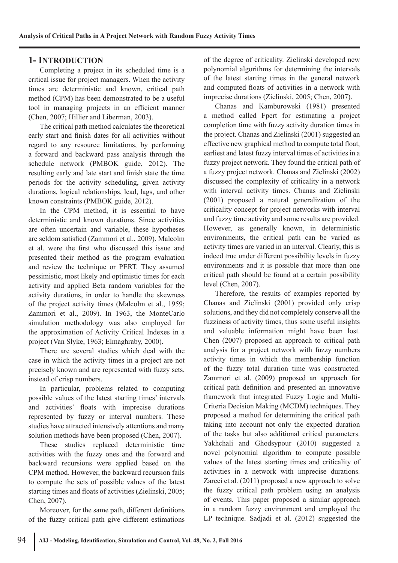## **1- INTRODUCTION**

Completing a project in its scheduled time is a critical issue for project managers. When the activity times are deterministic and known, critical path method (CPM) has been demonstrated to be a useful tool in managing projects in an efficient manner (Chen, 2007; Hillier and Liberman, 2003).

The critical path method calculates the theoretical early start and finish dates for all activities without regard to any resource limitations, by performing a forward and backward pass analysis through the schedule network (PMBOK guide, 2012). The resulting early and late start and finish state the time periods for the activity scheduling, given activity durations, logical relationships, lead, lags, and other known constraints (PMBOK guide, 2012).

In the CPM method, it is essential to have deterministic and known durations. Since activities are often uncertain and variable, these hypotheses are seldom satisfied (Zammori et al., 2009). Malcolm et al. were the first who discussed this issue and presented their method as the program evaluation and review the technique or PERT. They assumed pessimistic, most likely and optimistic times for each activity and applied Beta random variables for the activity durations, in order to handle the skewness of the project activity times (Malcolm et al., 1959; Zammori et al., 2009). In 1963, the MonteCarlo simulation methodology was also employed for the approximation of Activity Critical Indexes in a project (Van Slyke, 1963; Elmaghraby, 2000).

There are several studies which deal with the case in which the activity times in a project are not precisely known and are represented with fuzzy sets, instead of crisp numbers.

In particular, problems related to computing possible values of the latest starting times' intervals and activities' floats with imprecise durations represented by fuzzy or interval numbers. These studies have attracted intensively attentions and many solution methods have been proposed (Chen, 2007).

These studies replaced deterministic time activities with the fuzzy ones and the forward and backward recursions were applied based on the CPM method. However, the backward recursion fails to compute the sets of possible values of the latest starting times and floats of activities (Zielinski, 2005; Chen, 2007).

Moreover, for the same path, different definitions of the fuzzy critical path give different estimations of the degree of criticality. Zielinski developed new polynomial algorithms for determining the intervals of the latest starting times in the general network and computed floats of activities in a network with imprecise durations (Zielinski, 2005; Chen, 2007).

Chanas and Kamburowski (1981) presented a method called Fpert for estimating a project completion time with fuzzy activity duration times in the project. Chanas and Zielinski (2001) suggested an effective new graphical method to compute total float, earliest and latest fuzzy interval times of activities in a fuzzy project network. They found the critical path of a fuzzy project network. Chanas and Zielinski (2002) discussed the complexity of criticality in a network with interval activity times. Chanas and Zielinski (2001) proposed a natural generalization of the criticality concept for project networks with interval and fuzzy time activity and some results are provided. However, as generally known, in deterministic environments, the critical path can be varied as activity times are varied in an interval. Clearly, this is indeed true under different possibility levels in fuzzy environments and it is possible that more than one critical path should be found at a certain possibility level (Chen, 2007).

Therefore, the results of examples reported by Chanas and Zielinski (2001) provided only crisp solutions, and they did not completely conserve all the fuzziness of activity times, thus some useful insights and valuable information might have been lost. Chen (2007) proposed an approach to critical path analysis for a project network with fuzzy numbers activity times in which the membership function of the fuzzy total duration time was constructed. Zammori et al. (2009) proposed an approach for critical path definition and presented an innovative framework that integrated Fuzzy Logic and Multi-Criteria Decision Making (MCDM) techniques. They proposed a method for determining the critical path taking into account not only the expected duration of the tasks but also additional critical parameters. Yakhchali and Ghodsypour (2010) suggested a novel polynomial algorithm to compute possible values of the latest starting times and criticality of activities in a network with imprecise durations. Zareei et al. (2011) proposed a new approach to solve the fuzzy critical path problem using an analysis of events. This paper proposed a similar approach in a random fuzzy environment and employed the LP technique. Sadjadi et al. (2012) suggested the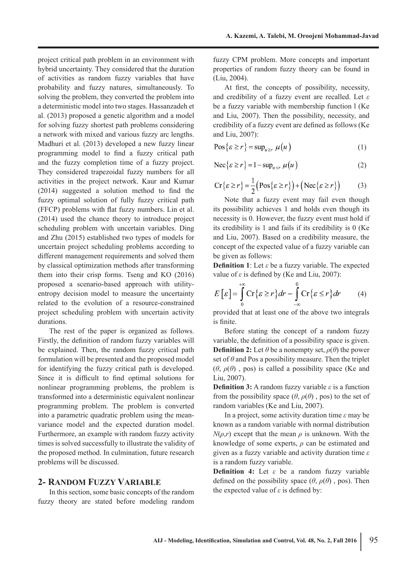project critical path problem in an environment with hybrid uncertainty. They considered that the duration of activities as random fuzzy variables that have probability and fuzzy natures, simultaneously. To solving the problem, they converted the problem into a deterministic model into two stages. Hassanzadeh et al. (2013) proposed a genetic algorithm and a model for solving fuzzy shortest path problems considering a network with mixed and various fuzzy arc lengths. Madhuri et al. (2013) developed a new fuzzy linear programming model to find a fuzzy critical path and the fuzzy completion time of a fuzzy project. They considered trapezoidal fuzzy numbers for all activities in the project network. Kaur and Kumar (2014) suggested a solution method to find the fuzzy optimal solution of fully fuzzy critical path (FFCP) problems with flat fuzzy numbers. Lin et al. (2014) used the chance theory to introduce project scheduling problem with uncertain variables. Ding and Zhu (2015) established two types of models for uncertain project scheduling problems according to different management requirements and solved them by classical optimization methods after transforming them into their crisp forms. Tseng and KO (2016) proposed a scenario-based approach with utilityentropy decision model to measure the uncertainty related to the evolution of a resource-constrained project scheduling problem with uncertain activity durations.

The rest of the paper is organized as follows. Firstly, the definition of random fuzzy variables will be explained. Then, the random fuzzy critical path formulation will be presented and the proposed model for identifying the fuzzy critical path is developed. Since it is difficult to find optimal solutions for nonlinear programming problems, the problem is transformed into a deterministic equivalent nonlinear programming problem. The problem is converted into a parametric quadratic problem using the meanvariance model and the expected duration model. Furthermore, an example with random fuzzy activity times is solved successfully to illustrate the validity of the proposed method. In culmination, future research problems will be discussed.

### **2- RANDOM FUZZY VARIABLE**

In this section, some basic concepts of the random fuzzy theory are stated before modeling random

fuzzy CPM problem. More concepts and important properties of random fuzzy theory can be found in (Liu, 2004).

At first, the concepts of possibility, necessity, and credibility of a fuzzy event are recalled. Let *ε*  be a fuzzy variable with membership function l (Ke and Liu, 2007). Then the possibility, necessity, and credibility of a fuzzy event are defined as follows (Ke and Liu, 2007):

$$
Pos\{\varepsilon \ge r\} = sup_{u \ge r} \mu(u)
$$
 (1)

$$
\text{Nec}\{\varepsilon \ge r\} = 1 - \sup_{u < r} \mu(u) \tag{2}
$$

$$
\text{Cr}\{\varepsilon \ge r\} = \frac{1}{2}\big(\text{Pos}\{\varepsilon \ge r\}\big) + \big(\text{Nec}\{\varepsilon \ge r\}\big) \tag{3}
$$

Note that a fuzzy event may fail even though its possibility achieves 1 and holds even though its necessity is 0. However, the fuzzy event must hold if its credibility is 1 and fails if its credibility is 0 (Ke and Liu, 2007). Based on a credibility measure, the concept of the expected value of a fuzzy variable can be given as follows:

**Definition 1**: Let *ε* be a fuzzy variable. The expected value of  $\varepsilon$  is defined by (Ke and Liu, 2007):

$$
E\left[\varepsilon\right] = \int_{0}^{+\infty} \mathbf{Cr}\{\varepsilon \ge r\} dr - \int_{-\infty}^{0} \mathbf{Cr}\{\varepsilon \le r\} dr \tag{4}
$$

provided that at least one of the above two integrals is finite.

Before stating the concept of a random fuzzy variable, the definition of a possibility space is given. **Definition 2:** Let  $\theta$  be a nonempty set,  $\rho(\theta)$  the power set of  $\theta$  and Pos a possibility measure. Then the triplet  $(\theta, \rho(\theta), \text{pos})$  is called a possibility space (Ke and Liu, 2007).

**Definition 3:** A random fuzzy variable *ε* is a function from the possibility space  $(\theta, \rho(\theta), \text{pos})$  to the set of random variables (Ke and Liu, 2007).

In a project, some activity duration time *ε* may be known as a random variable with normal distribution  $N(\rho,r)$  except that the mean  $\rho$  is unknown. With the knowledge of some experts, *ρ* can be estimated and given as a fuzzy variable and activity duration time *ε* is a random fuzzy variable.

**Definition 4:** Let *ε* be a random fuzzy variable defined on the possibility space  $(\theta, \rho(\theta), \text{pos})$ . Then the expected value of  $\varepsilon$  is defined by: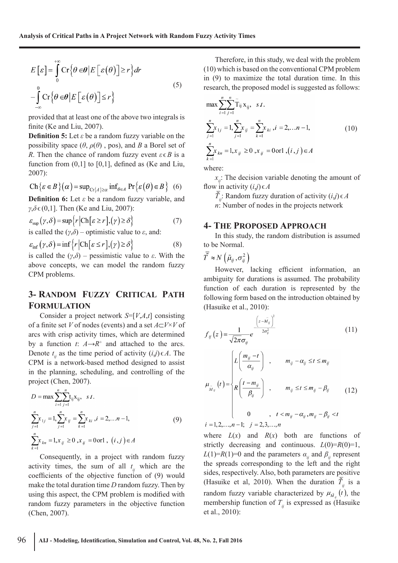$$
E\left[\varepsilon\right] = \int_{0}^{+\infty} \mathrm{Cr}\left\{\theta \in \theta \, \bigg| E\left[\varepsilon(\theta)\right] \ge r\right\} dr
$$
\n
$$
-\int_{-\infty}^{0} \mathrm{Cr}\left\{\theta \in \theta \, \bigg| E\left[\varepsilon(\theta)\right] \le r\right\} \tag{5}
$$

provided that at least one of the above two integrals is finite (Ke and Liu, 2007).

**Definition 5:** Let *ε* be a random fuzzy variable on the possibility space  $(\theta, \rho(\theta), \text{pos})$ , and *B* a Borel set of *R*. Then the chance of random fuzzy event  $\varepsilon \in B$  is a function from  $(0,1]$  to  $[0,1]$ , defined as (Ke and Liu, 2007):

$$
\text{Ch}\{\varepsilon \in B\}(\alpha) = \sup_{\text{Cr}\{A\} \ge \alpha} \inf_{\theta \in A} \text{Pr}\{\varepsilon(\theta) \in B\} \quad (6)
$$

**Definition 6:** Let *ε* be a random fuzzy variable, and *γ*,*δ* ∈ (0,1]. Then (Ke and Liu, 2007):

$$
\varepsilon_{\sup}(\gamma,\delta) = \sup \{r | \text{Ch}[\varepsilon \ge r], (\gamma) \ge \delta \}
$$
  
is called the  $(\gamma,\delta)$  – optimistic value to  $\varepsilon$ , and: (7)

$$
\varepsilon_{\inf}(\gamma,\delta) = \inf \{ r \, | \, \text{Ch}[\varepsilon \le r], (\gamma) \ge \delta \} \tag{8}
$$

is called the (*γ*,*δ*) – pessimistic value to *ε*. With the above concepts, we can model the random fuzzy CPM problems.

## **3- RANDOM FUZZY CRITICAL PATH FORMULATION**

Consider a project network *S*=[*V*,*A*,*t*] consisting of a finite set *V* of nodes (events) and a set *A*⊂*V*×*V* of arcs with crisp activity times, which are determined by a function  $t: A \rightarrow R^+$  and attached to the arcs. Denote  $t_{ij}$  as the time period of activity  $(i,j) \in A$ . The CPM is a network-based method designed to assist in the planning, scheduling, and controlling of the project (Chen, 2007).

$$
D = \max \sum_{i=1}^{n} \sum_{j=1}^{n} t_{ij} x_{ij}, \quad s.t.
$$
  

$$
\sum_{j=1}^{n} x_{1j} = 1, \sum_{j=1}^{n} x_{ij} = \sum_{k=1}^{n} x_{ki}, i = 2,...n-1,
$$
  

$$
\sum_{k=1}^{n} x_{kn} = 1, x_{ij} \ge 0, x_{ij} = 0 \text{ or } 1, (i, j) \in A
$$
  
(9)

Consequently, in a project with random fuzzy activity times, the sum of all  $t_{ij}$  which are the coefficients of the objective function of (9) would make the total duration time *D* random fuzzy. Then by using this aspect, the CPM problem is modified with random fuzzy parameters in the objective function (Chen, 2007).

Therefore, in this study, we deal with the problem (10) which is based on the conventional CPM problem in (9) to maximize the total duration time. In this research, the proposed model is suggested as follows:

$$
\max \sum_{i=1}^{n} \sum_{j=1}^{n} \tilde{Y}_{ij} X_{ij}, \quad s.t. \n\sum_{j=1}^{n} x_{1j} = 1, \sum_{j=1}^{n} x_{ij} = \sum_{k=1}^{n} x_{ki}, i = 2,...n-1, \n\sum_{k=1}^{n} x_{kn} = 1, x_{ij} \ge 0, x_{ij} = 0 \text{ or } 1, (i, j) \in A
$$
\n(10)

where:

 $x_{ij}$ : The decision variable denoting the amount of flow in activity  $(i,j) \in A$ 

 $\overline{T}_{ij}$ : Random fuzzy duration of activity  $(i,j) \in A$ *n*: Number of nodes in the projects network

#### **4- THE PROPOSED APPROACH**

In this study, the random distribution is assumed to be Normal.

$$
\tilde{T} \approx N\left(\tilde{\mu}_{ij}, \sigma_{ij}^2\right)
$$

However, lacking efficient information, an ambiguity for durations is assumed. The probability function of each duration is represented by the following form based on the introduction obtained by (Hasuike et al., 2010):

$$
f_{ij}(z) = \frac{1}{\sqrt{2\pi}\sigma_{ij}} e^{-\frac{\left(z - \tilde{M}_{ij}\right)^2}{2\sigma_{ij}^2}}
$$
(11)  

$$
\mu_{\tilde{M}_{ij}}(t) = \begin{cases} L\left(\frac{m_{ij} - t}{\alpha_{ij}}\right) , & m_{ij} - \alpha_{ij} \le t \le m_{ij} \\ R\left(\frac{t - m_{ij}}{\beta_{ij}}\right) , & m_{ij} \le t \le m_{ij} - \beta_{ij} \\ 0 , & t < m_{ij} - \alpha_{ij}, m_{ij} - \beta_{ij} < t \end{cases}
$$
(12)

 $i = 1, 2, ..., n-1;$   $j = 2, 3, ..., n$ 

where  $L(x)$  and  $R(x)$  both are functions of strictly decreasing and continuous.  $L(0)=R(0)=1$ , *L*(1)=*R*(1)=0 and the parameters  $\alpha_{ij}$  and  $\beta_{ij}$  represent the spreads corresponding to the left and the right sides, respectively. Also, both parameters are positive (Hasuike et al, 2010). When the duration  $\overline{\tilde{T}}_{ij}$  is a random fuzzy variable characterized by  $\mu_{\tilde{M}_{ij}}(t)$ , the membership function of  $T_{ii}$  is expressed as (Hasuike et al., 2010):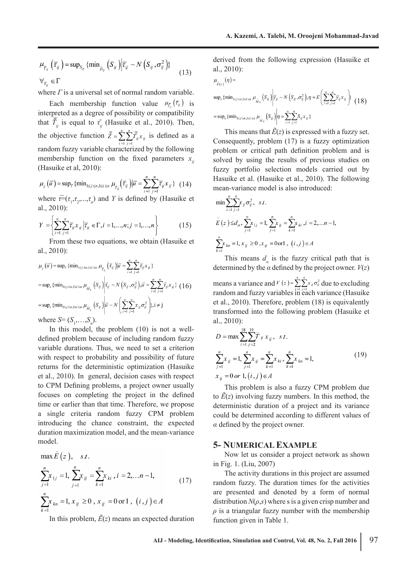$$
\mu_{\widetilde{T}_{ij}}\left(\overline{\tau}_{ij}\right) = \sup_{S_{ij}} \{\min_{\widetilde{\mu}_{ij}}\left(S_{ij}\right) \middle| \overline{\tau}_{ij} \sim N\left(S_{ij}, \sigma_{ij}^{2}\right)\}\n\n\forall_{\overline{\tau}_{ij}} \in \Gamma\n\tag{13}
$$

where *Γ* is a universal set of normal random variable.

Each membership function value  $\mu_{\bar{t}_u}(\bar{t}_y)$  is interpreted as a degree of possibility or compatibility that  $\overline{\tilde{T}}_{ij}$  is equal to  $\tau_{ij}$  (Hasuike et al., 2010). Then, the objective function  $\overline{\tilde{Z}} = \sum_{i=1}^{n} \sum_{j=1}^{n}$  $\sum_{i=1}$   $\sum_{j=1}^{I}$  *ij*  $\sum$  *ij*  $Z = \sum_{i}^{n} Z_{ii} x$  $\overline{\tilde{z}} = \sum_{i=1}$   $\sum_{j=1}$   $\overline{\tilde{T}}_{ij}$   $x_{ij}$  is defined as a random fuzzy variable characterized by the following membership function on the fixed parameters  $x_{ij}$ (Hasuike et al, 2010):

$$
\mu_{z}(\overline{u}) = \sup_{\overline{\tau}} \{ \min_{1 \le j \le n, 1 \le i \le n} \mu_{\overline{\tau}_{ij}}(\overline{\tau}_{ij}) | \overline{u} = \sum_{i=1}^{n} \sum_{j=1}^{n} \overline{\tau}_{ij} x_{ij} \} \quad (14)
$$

where  $\overline{r} = (\tau_1, \tau_2, \dots, \tau_n)$  and *Y* is defined by (Hasuike et al., 2010):

$$
Y = \left\{ \sum_{i=1}^{n} \sum_{j=1}^{n} \overline{\tau}_{ij} x_{ij} \middle| \overline{\tau}_{ij} \in \Gamma, i = 1, \dots, n; j = 1, \dots, n \right\}
$$
(15)

From these two equations, we obtain (Hasuike et al., 2010):

$$
\mu_{\overline{z}}(\overline{u}) = \sup_{\overline{r}} \{ \min_{1 \le j \le n, 1 \le i \le n} \mu_{\overline{T}_y} (\overline{\tau}_y) | \overline{u} = \sum_{i=1}^n \sum_{j=1}^n \overline{\tau}_y x_{ij} \}
$$
  
\n
$$
= \sup_s \{ \min_{1 \le j \le n, 1 \le i \le n} \mu_{\overline{M}_y} (S_{ij}) \Big| \overline{\tau}_y \sim N \left( S_{ij}, \sigma_y^2 \right), \overline{u} = \sum_{i=1}^n \sum_{j=1}^n \overline{\tau}_y x_{ij} \} (16)
$$
  
\n
$$
= \sup_s \{ \min_{1 \le j \le n, 1 \le i \le n} \mu_{\overline{M}_y} (S_{ij}) \Big| \overline{u} \sim N \left( \sum_{i=1}^n \sum_{j=1}^n x_{ij} \sigma_y^2 \right), i \ne j
$$

where  $S = (S_1, \ldots, S_n)$ .

In this model, the problem (10) is not a welldefined problem because of including random fuzzy variable durations. Thus, we need to set a criterion with respect to probability and possibility of future returns for the deterministic optimization (Hasuike et al., 2010). In general, decision cases with respect to CPM Defining problems, a project owner usually focuses on completing the project in the defined time or earlier than that time. Therefore, we propose a single criteria random fuzzy CPM problem introducing the chance constraint, the expected duration maximization model, and the mean-variance model.

$$
\max_{j=1} \tilde{E}(z), \quad s.t.
$$
\n
$$
\sum_{j=1}^{n} x_{1j} = 1, \sum_{j=1}^{n} x_{2j} = \sum_{k=1}^{n} x_{ki}, i = 2,...n-1,
$$
\n
$$
\sum_{k=1}^{n} x_{kn} = 1, x_{ij} \ge 0, x_{ij} = 0 \text{ or } 1, (i, j) \in A
$$
\n(17)

In this problem,  $\tilde{E}(z)$  means an expected duration

derived from the following expression (Hasuike et al., 2010):

$$
\mu_{\widetilde{E}(z)}(\eta) =
$$
\n
$$
\sup_{\widetilde{E}(z)} \{\min_{1 \le j \le n, 1 \le i \le n} \mu_{\widetilde{M}_{ij}}(S_{ij}) \middle| \overline{\gamma}_{ij} \sim N\left(S_{ij}, \sigma_{ij}^{2}\right), \eta = E\left(\sum_{i=1}^{n} \sum_{j=1}^{n} \overline{\gamma}_{ij} x_{ij}\right) \} \tag{18}
$$
\n
$$
= \sup_{s} \{\min_{1 \le j \le n, 1 \le i \le n} \mu_{\widetilde{M}_{ij}}(S_{ij}) \middle| \eta = \sum_{i=1}^{n} \sum_{j=1}^{n} S_{ij} x_{ij}\}
$$

This means that  $\tilde{E}(z)$  is expressed with a fuzzy set. Consequently, problem (17) is a fuzzy optimization problem or critical path definition problem and is solved by using the results of previous studies on fuzzy portfolio selection models carried out by Hasuike et al. (Hasuike et al., 2010). The following mean-variance model is also introduced:

$$
\min \sum_{i=1}^{n} \sum_{j=1}^{n} x_{ij} \sigma_{ij}^{2}, \quad s.t.
$$
\n
$$
\widetilde{E}(z) \leq d_{\alpha}, \sum_{j=1}^{n} x_{1j} = 1, \sum_{j=1}^{n} x_{ij} = \sum_{k=1}^{n} x_{ki}, i = 2, \dots n - 1,
$$
\n
$$
\sum_{k=1}^{n} x_{kn} = 1, x_{ij} \geq 0, x_{ij} = 0 \text{ or } 1, (i, j) \in A
$$

This means  $d_a$  is the fuzzy critical path that is determined by the  $\alpha$  defined by the project owner.  $V(z)$ 

means a variance and  $V(z) = \sum_{i=1} \sum_{j=1} x_{ij} \sigma_{ij}^2$ *n n*  $V(z) = \sum_{i=1}^{z} \sum_{j=1}^{z} x_{ij} \sigma_{ij}^2$  due to excluding random and fuzzy variables in each variance (Hasuike et al., 2010). Therefore, problem (18) is equivalently transformed into the following problem (Hasuike et al., 2010):

$$
D = \max \sum_{i=1}^{18} \sum_{j=2}^{19} \tilde{T}_{ij} x_{ij}, \quad s.t.
$$
  

$$
\sum_{j=1}^{n} x_{ij} = 1, \sum_{j=1}^{n} x_{ij} = \sum_{k=1}^{n} x_{ki}, \sum_{k=1}^{n} x_{kn} = 1,
$$
  

$$
x_{ij} = 0 \text{ or } 1, (i, j) \in A
$$
 (19)

This problem is also a fuzzy CPM problem due to  $E(z)$  involving fuzzy numbers. In this method, the deterministic duration of a project and its variance could be determined according to different values of *α* defined by the project owner.

#### **5- NUMERICAL EXAMPLE**

Now let us consider a project network as shown in Fig. 1. (Liu, 2007)

The activity durations in this project are assumed random fuzzy. The duration times for the activities are presented and denoted by a form of normal distribution  $N(\rho, s)$  where s is a given crisp number and  $\rho$  is a triangular fuzzy number with the membership function given in Table 1.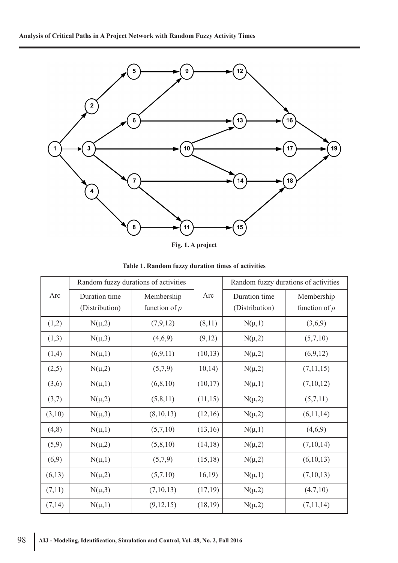

**Fig. 1. A project**

|        | Random fuzzy durations of activities |                    |         | Random fuzzy durations of activities |                    |
|--------|--------------------------------------|--------------------|---------|--------------------------------------|--------------------|
| Arc    | Duration time                        | Membership         | Arc     | Duration time                        | Membership         |
|        | (Distribution)                       | function of $\rho$ |         | (Distribution)                       | function of $\rho$ |
| (1,2)  | $N(\mu,2)$                           | (7,9,12)           | (8,11)  | $N(\mu,1)$                           | (3,6,9)            |
| (1,3)  | $N(\mu,3)$                           | (4,6,9)            | (9,12)  | $N(\mu,2)$                           | (5,7,10)           |
| (1,4)  | $N(\mu,1)$                           | (6,9,11)           | (10,13) | $N(\mu,2)$                           | (6,9,12)           |
| (2,5)  | $N(\mu,2)$                           | (5,7,9)            | 10,14)  | $N(\mu,2)$                           | (7,11,15)          |
| (3,6)  | $N(\mu,1)$                           | (6, 8, 10)         | (10,17) | $N(\mu,1)$                           | (7,10,12)          |
| (3,7)  | $N(\mu,2)$                           | (5,8,11)           | (11,15) | $N(\mu,2)$                           | (5,7,11)           |
| (3,10) | $N(\mu,3)$                           | (8,10,13)          | (12,16) | $N(\mu,2)$                           | (6,11,14)          |
| (4, 8) | $N(\mu,1)$                           | (5,7,10)           | (13,16) | $N(\mu,1)$                           | (4,6,9)            |
| (5,9)  | $N(\mu,2)$                           | (5, 8, 10)         | (14,18) | $N(\mu,2)$                           | (7,10,14)          |
| (6,9)  | $N(\mu,1)$                           | (5,7,9)            | (15,18) | $N(\mu,2)$                           | (6,10,13)          |
| (6,13) | $N(\mu,2)$                           | (5,7,10)           | 16,19)  | $N(\mu,1)$                           | (7,10,13)          |
| (7,11) | $N(\mu,3)$                           | (7,10,13)          | (17,19) | $N(\mu,2)$                           | (4,7,10)           |
| (7,14) | $N(\mu,1)$                           | (9, 12, 15)        | (18,19) | $N(\mu,2)$                           | (7,11,14)          |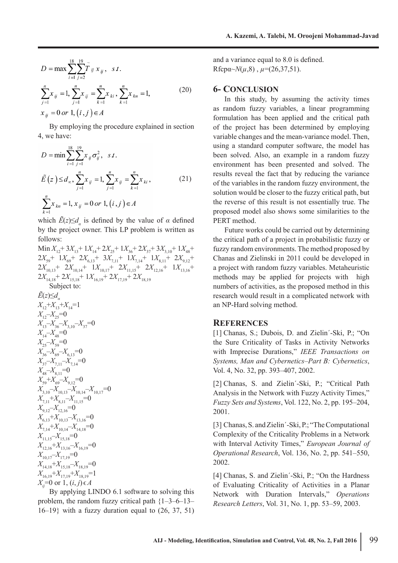$$
D = \max \sum_{i=1}^{18} \sum_{j=2}^{19} \tilde{T}_{ij} x_{ij}, \quad s.t.
$$
  

$$
\sum_{j=1}^{n} x_{ij} = 1, \sum_{j=1}^{n} x_{ij} = \sum_{k=1}^{n} x_{ki}, \sum_{k=1}^{n} x_{kn} = 1,
$$
  

$$
x_{ij} = 0 \text{ or } 1, (i, j) \in A
$$
 (20)

By employing the procedure explained in section 4, we have:

$$
D = \min \sum_{i=1}^{18} \sum_{j=1}^{19} x_{ij} \sigma_{ij}^{2}, \quad s.t.
$$
  

$$
\tilde{E}(z) \leq d_{\infty}, \sum_{j=1}^{n} x_{ij} = 1, \sum_{j=1}^{n} x_{ij} = \sum_{k=1}^{n} x_{ki},
$$
  

$$
\sum_{k=1}^{n} x_{kn} = 1, x_{ij} = 0 \text{ or } 1, (i, j) \in A
$$
 (21)

which  $\vec{E}(z) \leq d_{\alpha}$  is defined by the value of  $\alpha$  defined by the project owner. This LP problem is written as follows:

 $\text{Min } X_{12} + 3X_{13} + 1X_{14} + 2X_{25} + 1X_{36} + 2X_{37} + 3X_{3,10} + 1X_{48} +$  $2X_{59}$ +  $1X_{69}$ +  $2X_{6,13}$ +  $3X_{7,11}$ +  $1X_{7,14}$ +  $1X_{8,11}$ +  $2X_{9,12}$ +  $2X_{10,13}$ +  $2X_{10,14}$ +  $1X_{10,17}$ +  $2X_{11,15}$ +  $2X_{12,16}$ +  $1X_{13,16}$ +  $2X_{14,18}$ +  $2X_{15,18}$ +  $1X_{16,19}$ +  $2X_{17,19}$ +  $2X_{18,19}$ Subject to:  $\tilde{E}(z) \leq d_{\alpha}$ 

$$
X_{12} + X_{13} + X_{14} = 1
$$
\n
$$
X_{12} - X_{25} = 0
$$
\n
$$
X_{13} - X_{36} - X_{3,10} - X_{37} = 0
$$
\n
$$
X_{14} - X_{48} = 0
$$
\n
$$
X_{25} - X_{59} = 0
$$
\n
$$
X_{36} - X_{69} - X_{6,13} = 0
$$
\n
$$
X_{37} - X_{7,11} - X_{7,14} = 0
$$
\n
$$
X_{37} - X_{7,11} - X_{7,14} = 0
$$
\n
$$
X_{39} + X_{69} - X_{9,12} = 0
$$
\n
$$
X_{3,10} - X_{10,13} - X_{10,14} - X_{10,17} = 0
$$
\n
$$
X_{7,11} + X_{8,11} - X_{11,15} = 0
$$
\n
$$
X_{6,13} + X_{10,13} - X_{13,16} = 0
$$
\n
$$
X_{7,14} + X_{10,14} - X_{14,18} = 0
$$
\n
$$
X_{11,15} - X_{15,18} = 0
$$
\n
$$
X_{11,15} - X_{15,18} = 0
$$
\n
$$
X_{12,16} + X_{13,16} - X_{16,19} = 0
$$
\n
$$
X_{14,18} + X_{15,18} - X_{18,19} = 0
$$
\n
$$
X_{14,18} + X_{15,18} - X_{18,19} = 0
$$
\n
$$
X_{16,19} + X_{17,19} + X_{18,19} = 1
$$
\n
$$
X_{ij} = 0
$$
 or 1,  $(i, j) \in A$ 

By applying LINDO 6.1 software to solving this problem, the random fuzzy critical path {1–3–6–13–  $16-19$ } with a fuzzy duration equal to  $(26, 37, 51)$  and a variance equal to 8.0 is defined. Rfcpa~ $N(\mu, 8)$ ,  $\mu$ =(26,37,51).

#### **6- CONCLUSION**

In this study, by assuming the activity times as random fuzzy variables, a linear programming formulation has been applied and the critical path of the project has been determined by employing variable changes and the mean-variance model. Then, using a standard computer software, the model has been solved. Also, an example in a random fuzzy environment has been presented and solved. The results reveal the fact that by reducing the variance of the variables in the random fuzzy environment, the solution would be closer to the fuzzy critical path, but the reverse of this result is not essentially true. The proposed model also shows some similarities to the PERT method.

Future works could be carried out by determining the critical path of a project in probabilistic fuzzy or fuzzy random environments. The method proposed by Chanas and Zielinski in 2011 could be developed in a project with random fuzzy variables. Metaheuristic methods may be applied for projects with high numbers of activities, as the proposed method in this research would result in a complicated network with an NP-Hard solving method.

#### **REFERENCES**

[1] Chanas, S.; Dubois, D. and Zielin´-Ski, P.; "On the Sure Criticality of Tasks in Activity Networks with Imprecise Durations," *IEEE Transactions on Systems, Man and Cybernetics–Part B: Cybernetics*, Vol. 4, No. 32, pp. 393–407, 2002.

[2] Chanas, S. and Zielin´-Ski, P.; "Critical Path Analysis in the Network with Fuzzy Activity Times," *Fuzzy Sets and Systems*, Vol. 122, No. 2, pp. 195–204, 2001.

[3] Chanas, S. and Zielin´-Ski, P.; "The Computational Complexity of the Criticality Problems in a Network with Interval Activity Times," *European Journal of Operational Research*, Vol. 136, No. 2, pp. 541–550, 2002.

[4] Chanas, S. and Zielin´-Ski, P.; "On the Hardness of Evaluating Criticality of Activities in a Planar Network with Duration Intervals," *Operations Research Letters*, Vol. 31, No. 1, pp. 53–59, 2003.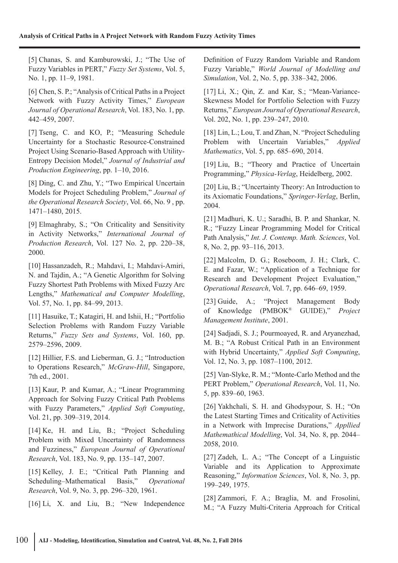[5] Chanas, S. and Kamburowski, J.; "The Use of Fuzzy Variables in PERT," *Fuzzy Set Systems*, Vol. 5, No. 1, pp. 11–9, 1981.

[6] Chen, S. P.; "Analysis of Critical Paths in a Project Network with Fuzzy Activity Times," *European Journal of Operational Research*, Vol. 183, No. 1, pp. 442–459, 2007.

[7] Tseng, C. and KO, P.; "Measuring Schedule Uncertainty for a Stochastic Resource-Constrained Project Using Scenario-Based Approach with Utility-Entropy Decision Model," *Journal of Industrial and Production Engineering*, pp. 1–10, 2016.

[8] Ding, C. and Zhu, Y.; "Two Empirical Uncertain Models for Project Scheduling Problem," *Journal of the Operational Research Society*, Vol. 66, No. 9 , pp. 1471–1480, 2015.

[9] Elmaghraby, S.; "On Criticality and Sensitivity in Activity Networks," *International Journal of Production Research*, Vol. 127 No. 2, pp. 220–38, 2000.

[10] Hassanzadeh, R.; Mahdavi, I.; Mahdavi-Amiri, N. and Tajdin, A.; "A Genetic Algorithm for Solving Fuzzy Shortest Path Problems with Mixed Fuzzy Arc Lengths," *Mathematical and Computer Modelling*, Vol. 57, No. 1, pp. 84–99, 2013.

[11] Hasuike, T.; Katagiri, H. and Ishii, H.; "Portfolio Selection Problems with Random Fuzzy Variable Returns," *Fuzzy Sets and Systems*, Vol. 160, pp. 2579–2596, 2009.

[12] Hillier, F.S. and Lieberman, G. J.; "Introduction to Operations Research," *McGraw-Hill*, Singapore, 7th ed., 2001.

[13] Kaur, P. and Kumar, A.; "Linear Programming Approach for Solving Fuzzy Critical Path Problems with Fuzzy Parameters," *Applied Soft Computing*, Vol. 21, pp. 309–319, 2014.

[14] Ke, H. and Liu, B.; "Project Scheduling Problem with Mixed Uncertainty of Randomness and Fuzziness," *European Journal of Operational Research*, Vol. 183, No. 9, pp. 135–147, 2007.

[15] Kelley, J. E.; "Critical Path Planning and Scheduling–Mathematical Basis," *Operational Research*, Vol. 9, No. 3, pp. 296–320, 1961.

[16] Li, X. and Liu, B.; "New Independence

Definition of Fuzzy Random Variable and Random Fuzzy Variable," *World Journal of Modelling and Simulation*, Vol. 2, No. 5, pp. 338–342, 2006.

[17] Li, X.; Qin, Z. and Kar, S.; "Mean-Variance-Skewness Model for Portfolio Selection with Fuzzy Returns," *European Journal of Operational Research*, Vol. 202, No. 1, pp. 239–247, 2010.

[18] Lin, L.; Lou, T. and Zhan, N. "Project Scheduling Problem with Uncertain Variables," *Applied Mathematics*, Vol. 5, pp. 685–690, 2014.

[19] Liu, B.; "Theory and Practice of Uncertain Programming," *Physica-Verlag*, Heidelberg, 2002.

[20] Liu, B.; "Uncertainty Theory: An Introduction to its Axiomatic Foundations," *Springer-Verlag*, Berlin, 2004.

[21] Madhuri, K. U.; Saradhi, B. P. and Shankar, N. R.; "Fuzzy Linear Programming Model for Critical Path Analysis," *Int. J. Contemp. Math. Sciences*, Vol. 8, No. 2, pp. 93–116, 2013.

[22] Malcolm, D. G.; Roseboom, J. H.; Clark, C. E. and Fazar, W.; "Application of a Technique for Research and Development Project Evaluation," *Operational Research*, Vol. 7, pp. 646–69, 1959.

[23] Guide, A.; "Project Management Body of Knowledge (PMBOK® GUIDE)," *Project Management Institute*, 2001.

[24] Sadjadi, S. J.; Pourmoayed, R. and Aryanezhad, M. B.; "A Robust Critical Path in an Environment with Hybrid Uncertainty," *Applied Soft Computing*, Vol. 12, No. 3, pp. 1087–1100, 2012.

[25] Van-Slyke, R. M.; "Monte-Carlo Method and the PERT Problem," *Operational Research*, Vol. 11, No. 5, pp. 839–60, 1963.

[26] Yakhchali, S. H. and Ghodsypour, S. H.; "On the Latest Starting Times and Criticality of Activities in a Network with Imprecise Durations," *Appllied Mathemathical Modelling*, Vol. 34, No. 8, pp. 2044– 2058, 2010.

[27] Zadeh, L. A.; "The Concept of a Linguistic Variable and its Application to Approximate Reasoning," *Information Sciences*, Vol. 8, No. 3, pp. 199–249, 1975.

[28] Zammori, F. A.; Braglia, M. and Frosolini, M.; "A Fuzzy Multi-Criteria Approach for Critical